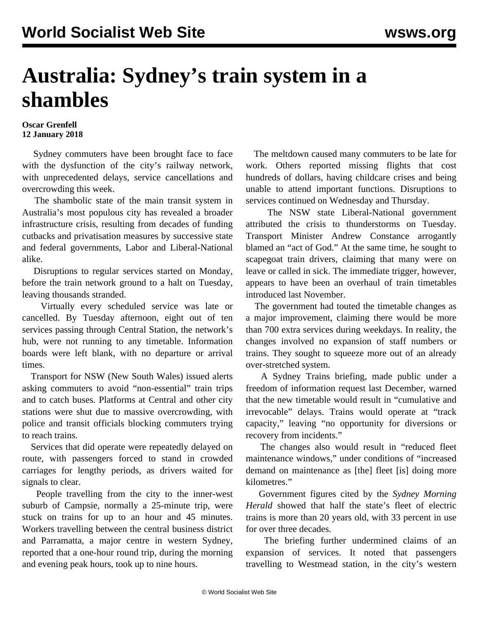## **Australia: Sydney's train system in a shambles**

## **Oscar Grenfell 12 January 2018**

 Sydney commuters have been brought face to face with the dysfunction of the city's railway network, with unprecedented delays, service cancellations and overcrowding this week.

 The shambolic state of the main transit system in Australia's most populous city has revealed a broader infrastructure crisis, resulting from decades of funding cutbacks and privatisation measures by successive state and federal governments, Labor and Liberal-National alike.

 Disruptions to regular services started on Monday, before the train network ground to a halt on Tuesday, leaving thousands stranded.

 Virtually every scheduled service was late or cancelled. By Tuesday afternoon, eight out of ten services passing through Central Station, the network's hub, were not running to any timetable. Information boards were left blank, with no departure or arrival times.

 Transport for NSW (New South Wales) issued alerts asking commuters to avoid "non-essential" train trips and to catch buses. Platforms at Central and other city stations were shut due to massive overcrowding, with police and transit officials blocking commuters trying to reach trains.

 Services that did operate were repeatedly delayed on route, with passengers forced to stand in crowded carriages for lengthy periods, as drivers waited for signals to clear.

 People travelling from the city to the inner-west suburb of Campsie, normally a 25-minute trip, were stuck on trains for up to an hour and 45 minutes. Workers travelling between the central business district and Parramatta, a major centre in western Sydney, reported that a one-hour round trip, during the morning and evening peak hours, took up to nine hours.

 The meltdown caused many commuters to be late for work. Others reported missing flights that cost hundreds of dollars, having childcare crises and being unable to attend important functions. Disruptions to services continued on Wednesday and Thursday.

 The NSW state Liberal-National government attributed the crisis to thunderstorms on Tuesday. Transport Minister Andrew Constance arrogantly blamed an "act of God." At the same time, he sought to scapegoat train drivers, claiming that many were on leave or called in sick. The immediate trigger, however, appears to have been an overhaul of train timetables introduced last November.

 The government had touted the timetable changes as a major improvement, claiming there would be more than 700 extra services during weekdays. In reality, the changes involved no expansion of staff numbers or trains. They sought to squeeze more out of an already over-stretched system.

 A Sydney Trains briefing, made public under a freedom of information request last December, warned that the new timetable would result in "cumulative and irrevocable" delays. Trains would operate at "track capacity," leaving "no opportunity for diversions or recovery from incidents."

 The changes also would result in "reduced fleet maintenance windows," under conditions of "increased demand on maintenance as [the] fleet [is] doing more kilometres."

 Government figures cited by the *Sydney Morning Herald* showed that half the state's fleet of electric trains is more than 20 years old, with 33 percent in use for over three decades.

 The briefing further undermined claims of an expansion of services. It noted that passengers travelling to Westmead station, in the city's western